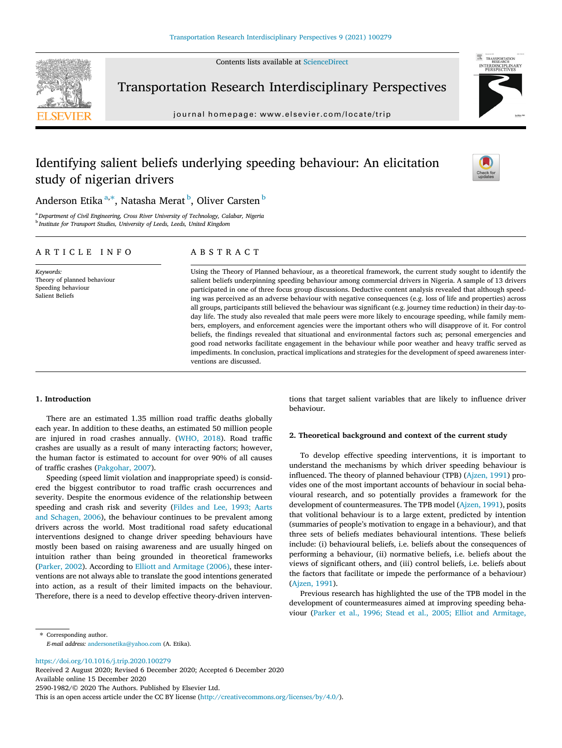Contents lists available at [ScienceDirect](http://www.sciencedirect.com/science/journal/25901982)



Transportation Research Interdisciplinary Perspectives

journal homepage: [www.elsevier.com/locate/trip](http://www.elsevier.com/locate/trip)



# Identifying salient beliefs underlying speeding behaviour: An elicitation study of nigerian drivers



Anderson Etika <sup>a,\*</sup>, Natasha Merat <sup>b</sup>, Oliver Carsten <sup>b</sup>

<sup>a</sup> Department of Civil Engineering, Cross River University of Technology, Calabar, Nigeria <sup>b</sup> Institute for Transport Studies, University of Leeds, Leeds, United Kingdom

### ARTICLE INFO

Keywords: Theory of planned behaviour Speeding behaviour Salient Beliefs

# ABSTRACT

Using the Theory of Planned behaviour, as a theoretical framework, the current study sought to identify the salient beliefs underpinning speeding behaviour among commercial drivers in Nigeria. A sample of 13 drivers participated in one of three focus group discussions. Deductive content analysis revealed that although speeding was perceived as an adverse behaviour with negative consequences (e.g. loss of life and properties) across all groups, participants still believed the behaviour was significant (e.g. journey time reduction) in their day‐to‐ day life. The study also revealed that male peers were more likely to encourage speeding, while family members, employers, and enforcement agencies were the important others who will disapprove of it. For control beliefs, the findings revealed that situational and environmental factors such as; personal emergencies and good road networks facilitate engagement in the behaviour while poor weather and heavy traffic served as impediments. In conclusion, practical implications and strategies for the development of speed awareness interventions are discussed.

## 1. Introduction

There are an estimated 1.35 million road traffic deaths globally each year. In addition to these deaths, an estimated 50 million people are injured in road crashes annually. [\(WHO, 2018\)](#page-4-0). Road traffic crashes are usually as a result of many interacting factors; however, the human factor is estimated to account for over 90% of all causes of traffic crashes [\(Pakgohar, 2007](#page-4-0)).

Speeding (speed limit violation and inappropriate speed) is considered the biggest contributor to road traffic crash occurrences and severity. Despite the enormous evidence of the relationship between speeding and crash risk and severity ([Fildes and Lee, 1993; Aarts](#page-4-0) [and Schagen, 2006\)](#page-4-0), the behaviour continues to be prevalent among drivers across the world. Most traditional road safety educational interventions designed to change driver speeding behaviours have mostly been based on raising awareness and are usually hinged on intuition rather than being grounded in theoretical frameworks ([Parker, 2002](#page-4-0)). According to [Elliott and Armitage \(2006\)](#page-4-0), these interventions are not always able to translate the good intentions generated into action, as a result of their limited impacts on the behaviour. Therefore, there is a need to develop effective theory‐driven interven-

tions that target salient variables that are likely to influence driver behaviour.

### 2. Theoretical background and context of the current study

To develop effective speeding interventions, it is important to understand the mechanisms by which driver speeding behaviour is influenced. The theory of planned behaviour (TPB) ([Ajzen, 1991\)](#page-4-0) provides one of the most important accounts of behaviour in social behavioural research, and so potentially provides a framework for the development of countermeasures. The TPB model [\(Ajzen, 1991\)](#page-4-0), posits that volitional behaviour is to a large extent, predicted by intention (summaries of people's motivation to engage in a behaviour), and that three sets of beliefs mediates behavioural intentions. These beliefs include: (i) behavioural beliefs, i.e. beliefs about the consequences of performing a behaviour, (ii) normative beliefs, i.e. beliefs about the views of significant others, and (iii) control beliefs, i.e. beliefs about the factors that facilitate or impede the performance of a behaviour) ([Ajzen, 1991](#page-4-0)).

Previous research has highlighted the use of the TPB model in the development of countermeasures aimed at improving speeding behaviour [\(Parker et al., 1996; Stead et al., 2005; Elliot and Armitage,](#page-4-0)

⇑ Corresponding author. E-mail address: [andersonetika@yahoo.com](mailto:andersonetika@yahoo.com) (A. Etika).

<https://doi.org/10.1016/j.trip.2020.100279>

Received 2 August 2020; Revised 6 December 2020; Accepted 6 December 2020 Available online 15 December 2020 2590-1982/© 2020 The Authors. Published by Elsevier Ltd.

This is an open access article under the CC BY license [\(http://creativecommons.org/licenses/by/4.0/](http://creativecommons.org/licenses/by/4.0/)).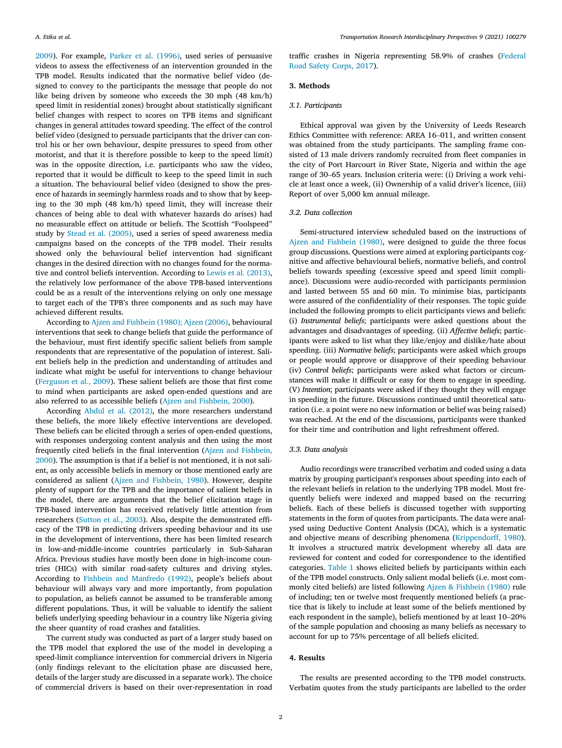[2009\)](#page-4-0). For example, [Parker et al. \(1996\),](#page-4-0) used series of persuasive videos to assess the effectiveness of an intervention grounded in the TPB model. Results indicated that the normative belief video (designed to convey to the participants the message that people do not like being driven by someone who exceeds the 30 mph (48 km/h) speed limit in residential zones) brought about statistically significant belief changes with respect to scores on TPB items and significant changes in general attitudes toward speeding. The effect of the control belief video (designed to persuade participants that the driver can control his or her own behaviour, despite pressures to speed from other motorist, and that it is therefore possible to keep to the speed limit) was in the opposite direction, i.e. participants who saw the video, reported that it would be difficult to keep to the speed limit in such a situation. The behavioural belief video (designed to show the presence of hazards in seemingly harmless roads and to show that by keeping to the 30 mph (48 km/h) speed limit, they will increase their chances of being able to deal with whatever hazards do arises) had no measurable effect on attitude or beliefs. The Scottish "Foolspeed" study by [Stead et al. \(2005\),](#page-4-0) used a series of speed awareness media campaigns based on the concepts of the TPB model. Their results showed only the behavioural belief intervention had significant changes in the desired direction with no changes found for the normative and control beliefs intervention. According to [Lewis et al. \(2013\)](#page-4-0), the relatively low performance of the above TPB‐based interventions could be as a result of the interventions relying on only one message to target each of the TPB's three components and as such may have achieved different results.

According to [Ajzen and Fishbein \(1980\); Ajzen \(2006\),](#page-4-0) behavioural interventions that seek to change beliefs that guide the performance of the behaviour, must first identify specific salient beliefs from sample respondents that are representative of the population of interest. Salient beliefs help in the prediction and understanding of attitudes and indicate what might be useful for interventions to change behaviour ([Ferguson et al., 2009](#page-4-0)). These salient beliefs are those that first come to mind when participants are asked open‐ended questions and are also referred to as accessible beliefs [\(Ajzen and Fishbein, 2000\)](#page-4-0).

According [Abdul et al. \(2012\),](#page-4-0) the more researchers understand these beliefs, the more likely effective interventions are developed. These beliefs can be elicited through a series of open-ended questions, with responses undergoing content analysis and then using the most frequently cited beliefs in the final intervention ([Ajzen and Fishbein,](#page-4-0) [2000\)](#page-4-0). The assumption is that if a belief is not mentioned, it is not salient, as only accessible beliefs in memory or those mentioned early are considered as salient [\(Ajzen and Fishbein, 1980](#page-4-0)). However, despite plenty of support for the TPB and the importance of salient beliefs in the model, there are arguments that the belief elicitation stage in TPB‐based intervention has received relatively little attention from researchers ([Sutton et al., 2003](#page-4-0)). Also, despite the demonstrated efficacy of the TPB in predicting drivers speeding behaviour and its use in the development of interventions, there has been limited research in low‐and‐middle‐income countries particularly in Sub‐Saharan Africa. Previous studies have mostly been done in high‐income countries (HICs) with similar road‐safety cultures and driving styles. According to [Fishbein and Manfredo \(1992\),](#page-4-0) people's beliefs about behaviour will always vary and more importantly, from population to population, as beliefs cannot be assumed to be transferable among different populations. Thus, it will be valuable to identify the salient beliefs underlying speeding behaviour in a country like Nigeria giving the sheer quantity of road crashes and fatalities.

The current study was conducted as part of a larger study based on the TPB model that explored the use of the model in developing a speed‐limit compliance intervention for commercial drivers in Nigeria (only findings relevant to the elicitation phase are discussed here, details of the larger study are discussed in a separate work). The choice of commercial drivers is based on their over‐representation in road

traffic crashes in Nigeria representing 58.9% of crashes [\(Federal](#page-4-0) [Road Safety Corps, 2017\)](#page-4-0).

# 3. Methods

### 3.1. Participants

Ethical approval was given by the University of Leeds Research Finical approval was given by the University of Leeds Research<br>Ethics Committee with reference: AREA 16–011, and written consent was obtained from the study participants. The sampling frame consisted of 13 male drivers randomly recruited from fleet companies in the city of Port Harcourt in River State, Nigeria and within the age was obtained from the study participants. The sampling frame consisted of 13 male drivers randomly recruited from fleet companies in the city of Port Harcourt in River State, Nigeria and within the age range of 30–65 years cle at least once a week, (ii) Ownership of a valid driver's licence, (iii) Report of over 5,000 km annual mileage.

### 3.2. Data collection

Semi‐structured interview scheduled based on the instructions of [Ajzen and Fishbein \(1980\),](#page-4-0) were designed to guide the three focus group discussions. Questions were aimed at exploring participants cognitive and affective behavioural beliefs, normative beliefs, and control beliefs towards speeding (excessive speed and speed limit compliance). Discussions were audio‐recorded with participants permission and lasted between 55 and 60 min. To minimise bias, participants were assured of the confidentiality of their responses. The topic guide included the following prompts to elicit participants views and beliefs: (i) Instrumental beliefs; participants were asked questions about the advantages and disadvantages of speeding. (ii) Affective beliefs; participants were asked to list what they like/enjoy and dislike/hate about speeding. (iii) Normative beliefs; participants were asked which groups or people would approve or disapprove of their speeding behaviour (iv) Control beliefs; participants were asked what factors or circumstances will make it difficult or easy for them to engage in speeding. (V) Intention; participants were asked if they thought they will engage in speeding in the future. Discussions continued until theoretical saturation (i.e. a point were no new information or belief was being raised) was reached. At the end of the discussions, participants were thanked for their time and contribution and light refreshment offered.

### 3.3. Data analysis

Audio recordings were transcribed verbatim and coded using a data matrix by grouping participant's responses about speeding into each of the relevant beliefs in relation to the underlying TPB model. Most frequently beliefs were indexed and mapped based on the recurring beliefs. Each of these beliefs is discussed together with supporting statements in the form of quotes from participants. The data were analysed using Deductive Content Analysis (DCA), which is a systematic and objective means of describing phenomena ([Krippendorff, 1980](#page-4-0)). It involves a structured matrix development whereby all data are reviewed for content and coded for correspondence to the identified categories. [Table 1](#page-2-0) shows elicited beliefs by participants within each of the TPB model constructs. Only salient modal beliefs (i.e. most com-monly cited beliefs) are listed following [Ajzen & Fishbein \(1980\)](#page-4-0) rule of including; ten or twelve most frequently mentioned beliefs (a practice that is likely to include at least some of the beliefs mentioned by each resp of including; ten or twelve most frequently mentioned beliefs (a practice that is likely to include at least some of the beliefs mentioned by of the sample population and choosing as many beliefs as necessary to account for up to 75% percentage of all beliefs elicited.

### 4. Results

The results are presented according to the TPB model constructs. Verbatim quotes from the study participants are labelled to the order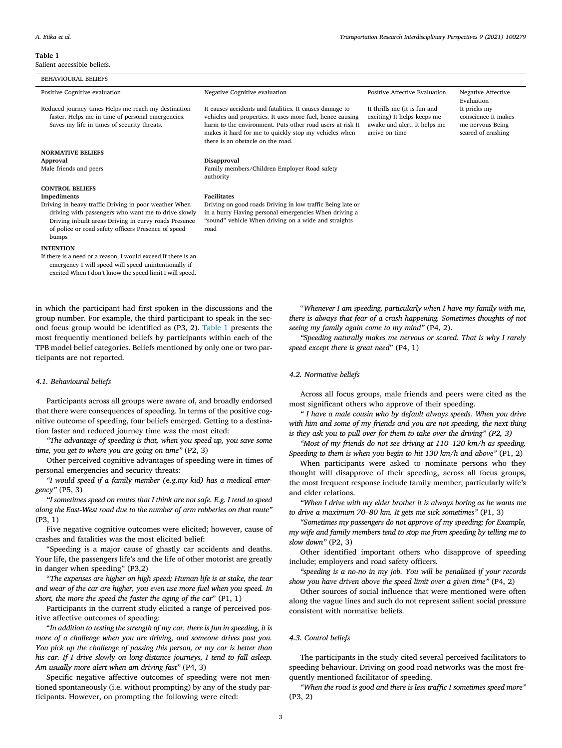#### <span id="page-2-0"></span>Table 1

Salient accessible beliefs.

| <b>BEHAVIOURAL BELIEFS</b>                                                                                                                                                                                                            |                                                                                                                                                                                                                                                                                 |                                                                                                               |                                                                               |
|---------------------------------------------------------------------------------------------------------------------------------------------------------------------------------------------------------------------------------------|---------------------------------------------------------------------------------------------------------------------------------------------------------------------------------------------------------------------------------------------------------------------------------|---------------------------------------------------------------------------------------------------------------|-------------------------------------------------------------------------------|
| Positive Cognitive evaluation                                                                                                                                                                                                         | Negative Cognitive evaluation                                                                                                                                                                                                                                                   | Positive Affective Evaluation                                                                                 | <b>Negative Affective</b><br>Evaluation                                       |
| Reduced journey times Helps me reach my destination<br>faster. Helps me in time of personal emergencies.<br>Saves my life in times of security threats.                                                                               | It causes accidents and fatalities. It causes damage to<br>vehicles and properties. It uses more fuel, hence causing<br>harm to the environment. Puts other road users at risk It<br>makes it hard for me to quickly stop my vehicles when<br>there is an obstacle on the road. | It thrills me (it is fun and<br>exciting) It helps keeps me<br>awake and alert. It helps me<br>arrive on time | It pricks my<br>conscience It makes<br>me nervous Being<br>scared of crashing |
| <b>NORMATIVE BELIEFS</b>                                                                                                                                                                                                              |                                                                                                                                                                                                                                                                                 |                                                                                                               |                                                                               |
| Approval                                                                                                                                                                                                                              | Disapproval                                                                                                                                                                                                                                                                     |                                                                                                               |                                                                               |
| Male friends and peers                                                                                                                                                                                                                | Family members/Children Employer Road safety<br>authority                                                                                                                                                                                                                       |                                                                                                               |                                                                               |
| <b>CONTROL BELIEFS</b>                                                                                                                                                                                                                |                                                                                                                                                                                                                                                                                 |                                                                                                               |                                                                               |
| Impediments                                                                                                                                                                                                                           | <b>Facilitates</b>                                                                                                                                                                                                                                                              |                                                                                                               |                                                                               |
| Driving in heavy traffic Driving in poor weather When<br>driving with passengers who want me to drive slowly<br>Driving inbuilt areas Driving in curvy roads Presence<br>of police or road safety officers Presence of speed<br>bumps | Driving on good roads Driving in low traffic Being late or<br>in a hurry Having personal emergencies When driving a<br>"sound" vehicle When driving on a wide and straights<br>road                                                                                             |                                                                                                               |                                                                               |
| <b>INTENTION</b>                                                                                                                                                                                                                      |                                                                                                                                                                                                                                                                                 |                                                                                                               |                                                                               |
| If there is a need or a reason, I would exceed If there is an<br>emergency I will speed will speed unintentionally if<br>excited When I don't know the speed limit I will speed.                                                      |                                                                                                                                                                                                                                                                                 |                                                                                                               |                                                                               |

in which the participant had first spoken in the discussions and the group number. For example, the third participant to speak in the second focus group would be identified as (P3, 2). Table 1 presents the most frequently mentioned beliefs by participants within each of the TPB model belief categories. Beliefs mentioned by only one or two participants are not reported.

### 4.1. Behavioural beliefs

Participants across all groups were aware of, and broadly endorsed that there were consequences of speeding. In terms of the positive cognitive outcome of speeding, four beliefs emerged. Getting to a destination faster and reduced journey time was the most cited:

"The advantage of speeding is that, when you speed up, you save some time, you get to where you are going on time" (P2, 3)

Other perceived cognitive advantages of speeding were in times of personal emergencies and security threats:

"I would speed if a family member (e.g.my kid) has a medical emergency" (P5, 3)

"I sometimes speed on routes that I think are not safe. E.g. I tend to speed along the East‐West road due to the number of arm robberies on that route" (P3, 1)

Five negative cognitive outcomes were elicited; however, cause of crashes and fatalities was the most elicited belief:

"Speeding is a major cause of ghastly car accidents and deaths. Your life, the passengers life's and the life of other motorist are greatly in danger when speeding" (P3,2)

"The expenses are higher on high speed; Human life is at stake, the tear and wear of the car are higher, you even use more fuel when you speed. In short, the more the speed the faster the aging of the car" (P1, 1)

Participants in the current study elicited a range of perceived positive affective outcomes of speeding:

"In addition to testing the strength of my car, there is fun in speeding, it is more of a challenge when you are driving, and someone drives past you. You pick up the challenge of passing this person, or my car is better than his car. If I drive slowly on long-distance journeys, I tend to fall asleep. Am usually more alert when am driving fast" (P4, 3)

Specific negative affective outcomes of speeding were not mentioned spontaneously (i.e. without prompting) by any of the study participants. However, on prompting the following were cited:

"Whenever I am speeding, particularly when I have my family with me, there is always that fear of a crash happening. Sometimes thoughts of not seeing my family again come to my mind" (P4, 2).

"Speeding naturally makes me nervous or scared. That is why I rarely speed except there is great need" (P4, 1)

# 4.2. Normative beliefs

Across all focus groups, male friends and peers were cited as the most significant others who approve of their speeding.

" I have a male cousin who by default always speeds. When you drive h him and some of my friends and you are not speeding, the next thing hey ask you to pull over for them to take over the driving" (P2, 3) "Most of my fri with him and some of my friends and you are not speeding, the next thing is they ask you to pull over for them to take over the driving" (P2, 3)

Speeding to them is when you begin to hit 130 km/h and above" (P1, 2)

When participants were asked to nominate persons who they thought will disapprove of their speeding, across all focus groups, the most frequent response include family member; particularly wife's and elder relations. the most frequent response include family member; particularly<br>and elder relations.<br>"When I drive with my elder brother it is always boring as he we<br>to drive a maximum 70–80 km. It gets me sick sometimes" (P1, 3)

"When I drive with my elder brother it is always boring as he wants me

"Sometimes my passengers do not approve of my speeding; for Example, my wife and family members tend to stop me from speeding by telling me to slow down" (P2, 3)

Other identified important others who disapprove of speeding include; employers and road safety officers.

"speeding is a no‐no in my job. You will be penalized if your records show you have driven above the speed limit over a given time" (P4, 2)

Other sources of social influence that were mentioned were often along the vague lines and such do not represent salient social pressure consistent with normative beliefs.

### 4.3. Control beliefs

The participants in the study cited several perceived facilitators to speeding behaviour. Driving on good road networks was the most frequently mentioned facilitator of speeding.

"When the road is good and there is less traffic I sometimes speed more" (P3, 2)

3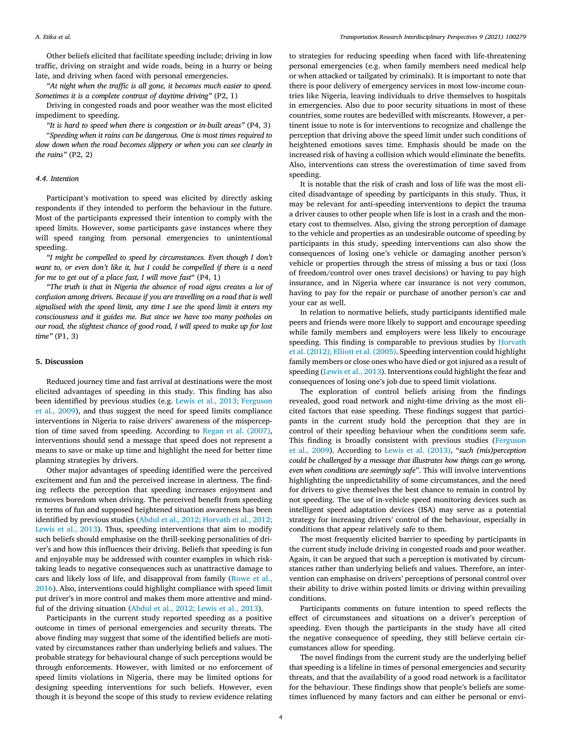Other beliefs elicited that facilitate speeding include; driving in low traffic, driving on straight and wide roads, being in a hurry or being late, and driving when faced with personal emergencies.

"At night when the traffic is all gone, it becomes much easier to speed. Sometimes it is a complete contrast of daytime driving" (P2, 1)

Driving in congested roads and poor weather was the most elicited impediment to speeding.

"It is hard to speed when there is congestion or in‐built areas" (P4, 3)

"Speeding when it rains can be dangerous. One is most times required to slow down when the road becomes slippery or when you can see clearly in the rains" (P2, 2)

### 4.4. Intention

Participant's motivation to speed was elicited by directly asking respondents if they intended to perform the behaviour in the future. Most of the participants expressed their intention to comply with the speed limits. However, some participants gave instances where they will speed ranging from personal emergencies to unintentional speeding.

"I might be compelled to speed by circumstances. Even though I don't want to, or even don't like it, but I could be compelled if there is a need for me to get out of a place fast, I will move fast" (P4, 1)

"The truth is that in Nigeria the absence of road signs creates a lot of confusion among drivers. Because if you are travelling on a road that is well signalised with the speed limit, any time I see the speed limit it enters my consciousness and it guides me. But since we have too many potholes on our road, the slightest chance of good road, I will speed to make up for lost time" (P1, 3)

### 5. Discussion

Reduced journey time and fast arrival at destinations were the most elicited advantages of speeding in this study. This finding has also been identified by previous studies (e.g. [Lewis et al., 2013; Ferguson](#page-4-0) [et al., 2009\)](#page-4-0), and thus suggest the need for speed limits compliance interventions in Nigeria to raise drivers' awareness of the misperception of time saved from speeding. According to [Regan et al. \(2007\)](#page-4-0), interventions should send a message that speed does not represent a means to save or make up time and highlight the need for better time planning strategies by drivers.

Other major advantages of speeding identified were the perceived excitement and fun and the perceived increase in alertness. The finding reflects the perception that speeding increases enjoyment and removes boredom when driving. The perceived benefit from speeding in terms of fun and supposed heightened situation awareness has been identified by previous studies [\(Abdul et al., 2012; Horvath et al., 2012;](#page-4-0) [Lewis et al., 2013](#page-4-0)). Thus, speeding interventions that aim to modify such beliefs should emphasise on the thrill-seeking personalities of driver's and how this influences their driving. Beliefs that speeding is fun and enjoyable may be addressed with counter examples in which risktaking leads to negative consequences such as unattractive damage to cars and likely loss of life, and disapproval from family [\(Rowe et al.,](#page-4-0) [2016\)](#page-4-0). Also, interventions could highlight compliance with speed limit put driver's in more control and makes them more attentive and mindful of the driving situation [\(Abdul et al., 2012; Lewis et al., 2013\)](#page-4-0).

Participants in the current study reported speeding as a positive outcome in times of personal emergencies and security threats. The above finding may suggest that some of the identified beliefs are motivated by circumstances rather than underlying beliefs and values. The probable strategy for behavioural change of such perceptions would be through enforcements. However, with limited or no enforcement of speed limits violations in Nigeria, there may be limited options for designing speeding interventions for such beliefs. However, even though it is beyond the scope of this study to review evidence relating to strategies for reducing speeding when faced with life‐threatening personal emergencies (e.g. when family members need medical help or when attacked or tailgated by criminals). It is important to note that there is poor delivery of emergency services in most low‐income countries like Nigeria, leaving individuals to drive themselves to hospitals in emergencies. Also due to poor security situations in most of these countries, some routes are bedevilled with miscreants. However, a pertinent issue to note is for interventions to recognize and challenge the perception that driving above the speed limit under such conditions of heightened emotions saves time. Emphasis should be made on the increased risk of having a collision which would eliminate the benefits. Also, interventions can stress the overestimation of time saved from speeding.

It is notable that the risk of crash and loss of life was the most elicited disadvantage of speeding by participants in this study. Thus, it may be relevant for anti-speeding interventions to depict the trauma a driver causes to other people when life is lost in a crash and the monetary cost to themselves. Also, giving the strong perception of damage to the vehicle and properties as an undesirable outcome of speeding by participants in this study, speeding interventions can also show the consequences of losing one's vehicle or damaging another person's vehicle or properties through the stress of missing a bus or taxi (loss of freedom/control over ones travel decisions) or having to pay high insurance, and in Nigeria where car insurance is not very common, having to pay for the repair or purchase of another person's car and your car as well.

In relation to normative beliefs, study participants identified male peers and friends were more likely to support and encourage speeding while family members and employers were less likely to encourage speeding. This finding is comparable to previous studies by [Horvath](#page-4-0) [et al. \(2012\); Elliott et al. \(2005\)](#page-4-0). Speeding intervention could highlight family members or close ones who have died or got injured as a result of speeding ([Lewis et al., 2013](#page-4-0)). Interventions could highlight the fear and consequences of losing one's job due to speed limit violations.

The exploration of control beliefs arising from the findings revealed, good road network and night-time driving as the most elicited factors that ease speeding. These findings suggest that participants in the current study hold the perception that they are in control of their speeding behaviour when the conditions seem safe. This finding is broadly consistent with previous studies [\(Ferguson](#page-4-0) [et al., 2009](#page-4-0)). According to [Lewis et al. \(2013\),](#page-4-0) "such (mis)perception could be challenged by a message that illustrates how things can go wrong, even when conditions are seemingly safe". This will involve interventions highlighting the unpredictability of some circumstances, and the need for drivers to give themselves the best chance to remain in control by not speeding. The use of in‐vehicle speed monitoring devices such as intelligent speed adaptation devices (ISA) may serve as a potential strategy for increasing drivers' control of the behaviour, especially in conditions that appear relatively safe to them.

The most frequently elicited barrier to speeding by participants in the current study include driving in congested roads and poor weather. Again, it can be argued that such a perception is motivated by circumstances rather than underlying beliefs and values. Therefore, an intervention can emphasise on drivers' perceptions of personal control over their ability to drive within posted limits or driving within prevailing conditions.

Participants comments on future intention to speed reflects the effect of circumstances and situations on a driver's perception of speeding. Even though the participants in the study have all cited the negative consequence of speeding, they still believe certain circumstances allow for speeding.

The novel findings from the current study are the underlying belief that speeding is a lifeline in times of personal emergencies and security threats, and that the availability of a good road network is a facilitator for the behaviour. These findings show that people's beliefs are sometimes influenced by many factors and can either be personal or envi